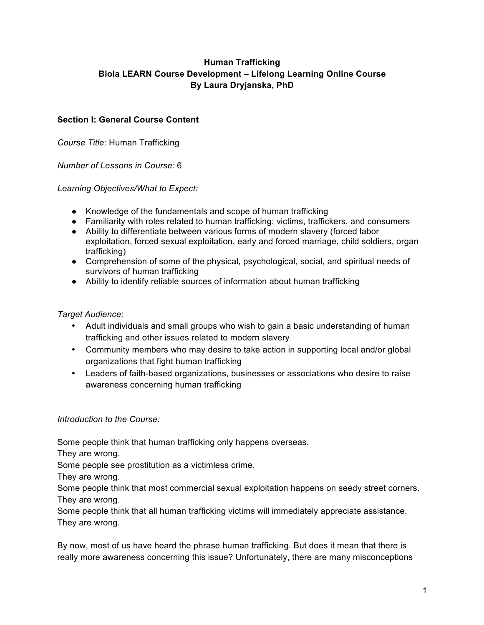# **Human Trafficking Biola LEARN Course Development – Lifelong Learning Online Course By Laura Dryjanska, PhD**

# **Section I: General Course Content**

*Course Title:* Human Trafficking

*Number of Lessons in Course:* 6

### *Learning Objectives/What to Expect:*

- Knowledge of the fundamentals and scope of human trafficking
- Familiarity with roles related to human trafficking: victims, traffickers, and consumers
- Ability to differentiate between various forms of modern slavery (forced labor exploitation, forced sexual exploitation, early and forced marriage, child soldiers, organ trafficking)
- Comprehension of some of the physical, psychological, social, and spiritual needs of survivors of human trafficking
- Ability to identify reliable sources of information about human trafficking

## *Target Audience:*

- Adult individuals and small groups who wish to gain a basic understanding of human trafficking and other issues related to modern slavery
- Community members who may desire to take action in supporting local and/or global organizations that fight human trafficking
- Leaders of faith-based organizations, businesses or associations who desire to raise awareness concerning human trafficking

## *Introduction to the Course:*

Some people think that human trafficking only happens overseas.

They are wrong.

Some people see prostitution as a victimless crime.

They are wrong.

Some people think that most commercial sexual exploitation happens on seedy street corners. They are wrong.

Some people think that all human trafficking victims will immediately appreciate assistance. They are wrong.

By now, most of us have heard the phrase human trafficking. But does it mean that there is really more awareness concerning this issue? Unfortunately, there are many misconceptions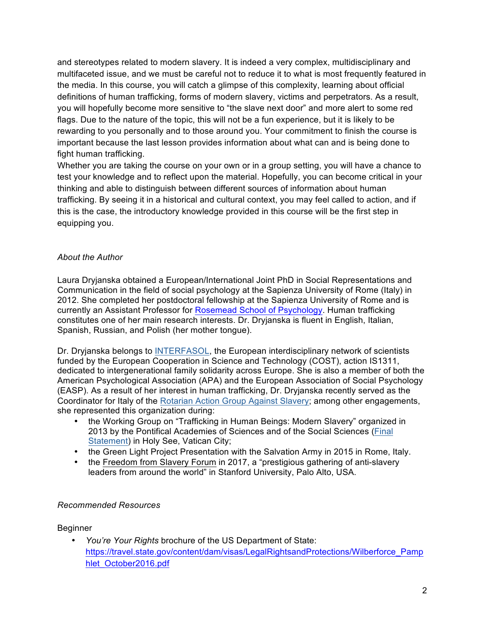and stereotypes related to modern slavery. It is indeed a very complex, multidisciplinary and multifaceted issue, and we must be careful not to reduce it to what is most frequently featured in the media. In this course, you will catch a glimpse of this complexity, learning about official definitions of human trafficking, forms of modern slavery, victims and perpetrators. As a result, you will hopefully become more sensitive to "the slave next door" and more alert to some red flags. Due to the nature of the topic, this will not be a fun experience, but it is likely to be rewarding to you personally and to those around you. Your commitment to finish the course is important because the last lesson provides information about what can and is being done to fight human trafficking.

Whether you are taking the course on your own or in a group setting, you will have a chance to test your knowledge and to reflect upon the material. Hopefully, you can become critical in your thinking and able to distinguish between different sources of information about human trafficking. By seeing it in a historical and cultural context, you may feel called to action, and if this is the case, the introductory knowledge provided in this course will be the first step in equipping you.

## *About the Author*

Laura Dryjanska obtained a European/International Joint PhD in Social Representations and Communication in the field of social psychology at the Sapienza University of Rome (Italy) in 2012. She completed her postdoctoral fellowship at the Sapienza University of Rome and is currently an Assistant Professor for Rosemead School of Psychology. Human trafficking constitutes one of her main research interests. Dr. Dryjanska is fluent in English, Italian, Spanish, Russian, and Polish (her mother tongue).

Dr. Dryjanska belongs to INTERFASOL, the European interdisciplinary network of scientists funded by the European Cooperation in Science and Technology (COST), action IS1311, dedicated to intergenerational family solidarity across Europe. She is also a member of both the American Psychological Association (APA) and the European Association of Social Psychology (EASP). As a result of her interest in human trafficking, Dr. Dryjanska recently served as the Coordinator for Italy of the Rotarian Action Group Against Slavery; among other engagements, she represented this organization during:

- the Working Group on "Trafficking in Human Beings: Modern Slavery" organized in 2013 by the Pontifical Academies of Sciences and of the Social Sciences (Final Statement) in Holy See, Vatican City;
- the Green Light Project Presentation with the Salvation Army in 2015 in Rome, Italy.
- the Freedom from Slavery Forum in 2017, a "prestigious gathering of anti-slavery leaders from around the world" in Stanford University, Palo Alto, USA.

## *Recommended Resources*

#### Beginner

• *You're Your Rights* brochure of the US Department of State: https://travel.state.gov/content/dam/visas/LegalRightsandProtections/Wilberforce\_Pamp hlet\_October2016.pdf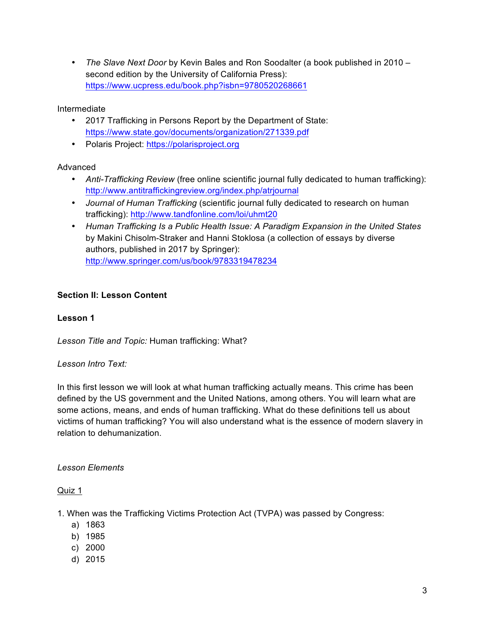• *The Slave Next Door* by Kevin Bales and Ron Soodalter (a book published in 2010 – second edition by the University of California Press): https://www.ucpress.edu/book.php?isbn=9780520268661

## Intermediate

- 2017 Trafficking in Persons Report by the Department of State: https://www.state.gov/documents/organization/271339.pdf
- Polaris Project: https://polarisproject.org

## Advanced

- *Anti-Trafficking Review* (free online scientific journal fully dedicated to human trafficking): http://www.antitraffickingreview.org/index.php/atrjournal
- *Journal of Human Trafficking* (scientific journal fully dedicated to research on human trafficking): http://www.tandfonline.com/loi/uhmt20
- *Human Trafficking Is a Public Health Issue: A Paradigm Expansion in the United States* by Makini Chisolm-Straker and Hanni Stoklosa (a collection of essays by diverse authors, published in 2017 by Springer): http://www.springer.com/us/book/9783319478234

# **Section II: Lesson Content**

## **Lesson 1**

*Lesson Title and Topic:* Human trafficking: What?

## *Lesson Intro Text:*

In this first lesson we will look at what human trafficking actually means. This crime has been defined by the US government and the United Nations, among others. You will learn what are some actions, means, and ends of human trafficking. What do these definitions tell us about victims of human trafficking? You will also understand what is the essence of modern slavery in relation to dehumanization.

## *Lesson Elements*

## Quiz 1

1. When was the Trafficking Victims Protection Act (TVPA) was passed by Congress:

- a) 1863
- b) 1985
- c) 2000
- d) 2015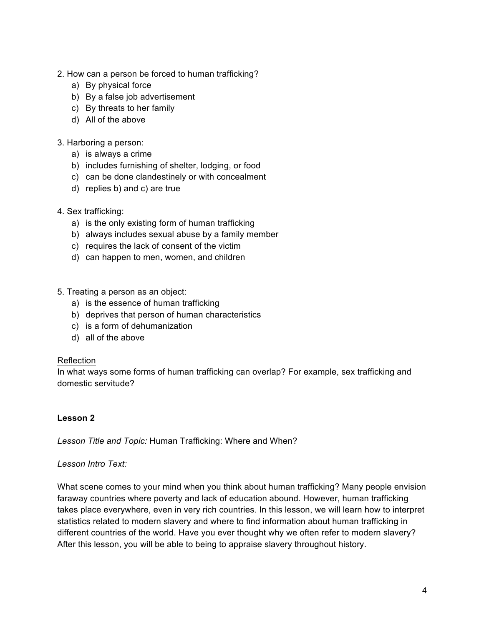- 2. How can a person be forced to human trafficking?
	- a) By physical force
	- b) By a false job advertisement
	- c) By threats to her family
	- d) All of the above

#### 3. Harboring a person:

- a) is always a crime
- b) includes furnishing of shelter, lodging, or food
- c) can be done clandestinely or with concealment
- d) replies b) and c) are true
- 4. Sex trafficking:
	- a) is the only existing form of human trafficking
	- b) always includes sexual abuse by a family member
	- c) requires the lack of consent of the victim
	- d) can happen to men, women, and children
- 5. Treating a person as an object:
	- a) is the essence of human trafficking
	- b) deprives that person of human characteristics
	- c) is a form of dehumanization
	- d) all of the above

#### Reflection

In what ways some forms of human trafficking can overlap? For example, sex trafficking and domestic servitude?

## **Lesson 2**

*Lesson Title and Topic:* Human Trafficking: Where and When?

#### *Lesson Intro Text:*

What scene comes to your mind when you think about human trafficking? Many people envision faraway countries where poverty and lack of education abound. However, human trafficking takes place everywhere, even in very rich countries. In this lesson, we will learn how to interpret statistics related to modern slavery and where to find information about human trafficking in different countries of the world. Have you ever thought why we often refer to modern slavery? After this lesson, you will be able to being to appraise slavery throughout history.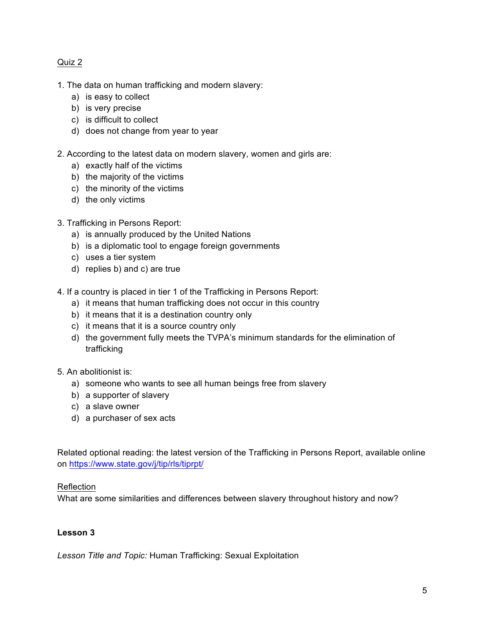### Quiz 2

- 1. The data on human trafficking and modern slavery:
	- a) is easy to collect
	- b) is very precise
	- c) is difficult to collect
	- d) does not change from year to year
- 2. According to the latest data on modern slavery, women and girls are:
	- a) exactly half of the victims
	- b) the majority of the victims
	- c) the minority of the victims
	- d) the only victims
- 3. Trafficking in Persons Report:
	- a) is annually produced by the United Nations
	- b) is a diplomatic tool to engage foreign governments
	- c) uses a tier system
	- d) replies b) and c) are true
- 4. If a country is placed in tier 1 of the Trafficking in Persons Report:
	- a) it means that human trafficking does not occur in this country
	- b) it means that it is a destination country only
	- c) it means that it is a source country only
	- d) the government fully meets the TVPA's minimum standards for the elimination of trafficking
- 5. An abolitionist is:
	- a) someone who wants to see all human beings free from slavery
	- b) a supporter of slavery
	- c) a slave owner
	- d) a purchaser of sex acts

Related optional reading: the latest version of the Trafficking in Persons Report, available online on https://www.state.gov/j/tip/rls/tiprpt/

#### Reflection

What are some similarities and differences between slavery throughout history and now?

#### **Lesson 3**

*Lesson Title and Topic:* Human Trafficking: Sexual Exploitation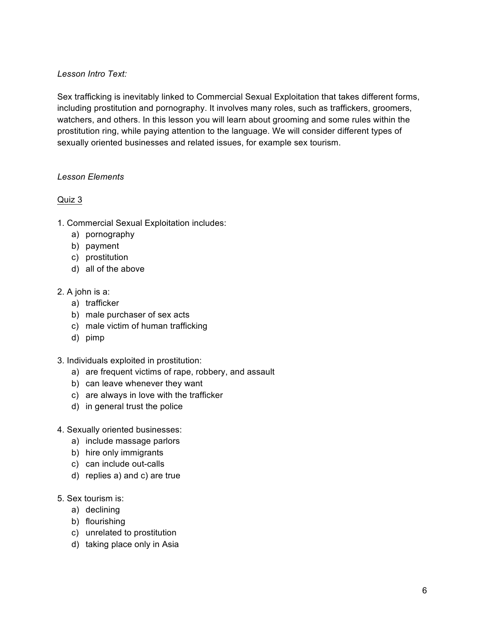## *Lesson Intro Text:*

Sex trafficking is inevitably linked to Commercial Sexual Exploitation that takes different forms, including prostitution and pornography. It involves many roles, such as traffickers, groomers, watchers, and others. In this lesson you will learn about grooming and some rules within the prostitution ring, while paying attention to the language. We will consider different types of sexually oriented businesses and related issues, for example sex tourism.

#### *Lesson Elements*

### Quiz 3

- 1. Commercial Sexual Exploitation includes:
	- a) pornography
	- b) payment
	- c) prostitution
	- d) all of the above
- 2. A john is a:
	- a) trafficker
	- b) male purchaser of sex acts
	- c) male victim of human trafficking
	- d) pimp
- 3. Individuals exploited in prostitution:
	- a) are frequent victims of rape, robbery, and assault
	- b) can leave whenever they want
	- c) are always in love with the trafficker
	- d) in general trust the police
- 4. Sexually oriented businesses:
	- a) include massage parlors
	- b) hire only immigrants
	- c) can include out-calls
	- d) replies a) and c) are true
- 5. Sex tourism is:
	- a) declining
	- b) flourishing
	- c) unrelated to prostitution
	- d) taking place only in Asia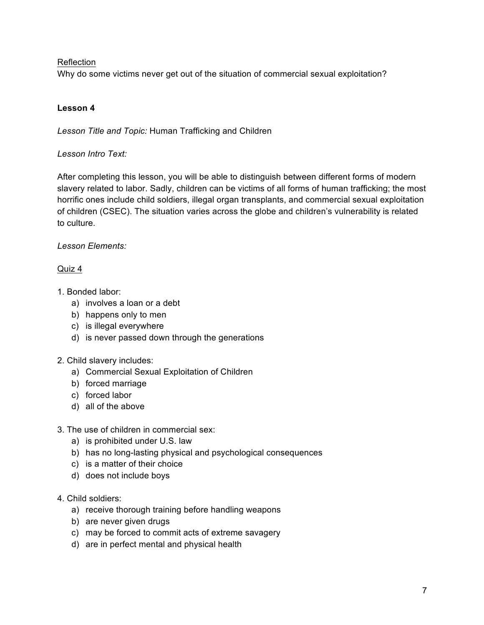### Reflection

Why do some victims never get out of the situation of commercial sexual exploitation?

## **Lesson 4**

*Lesson Title and Topic:* Human Trafficking and Children

### *Lesson Intro Text:*

After completing this lesson, you will be able to distinguish between different forms of modern slavery related to labor. Sadly, children can be victims of all forms of human trafficking; the most horrific ones include child soldiers, illegal organ transplants, and commercial sexual exploitation of children (CSEC). The situation varies across the globe and children's vulnerability is related to culture.

### *Lesson Elements:*

### Quiz 4

- 1. Bonded labor:
	- a) involves a loan or a debt
	- b) happens only to men
	- c) is illegal everywhere
	- d) is never passed down through the generations

## 2. Child slavery includes:

- a) Commercial Sexual Exploitation of Children
- b) forced marriage
- c) forced labor
- d) all of the above

#### 3. The use of children in commercial sex:

- a) is prohibited under U.S. law
- b) has no long-lasting physical and psychological consequences
- c) is a matter of their choice
- d) does not include boys
- 4. Child soldiers:
	- a) receive thorough training before handling weapons
	- b) are never given drugs
	- c) may be forced to commit acts of extreme savagery
	- d) are in perfect mental and physical health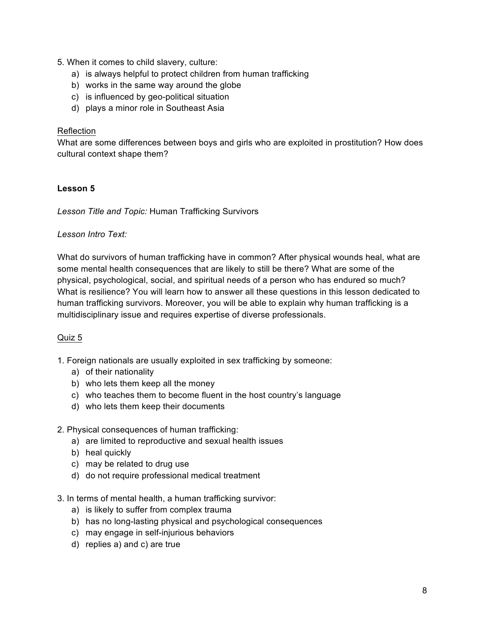- 5. When it comes to child slavery, culture:
	- a) is always helpful to protect children from human trafficking
	- b) works in the same way around the globe
	- c) is influenced by geo-political situation
	- d) plays a minor role in Southeast Asia

#### Reflection

What are some differences between boys and girls who are exploited in prostitution? How does cultural context shape them?

### **Lesson 5**

*Lesson Title and Topic:* Human Trafficking Survivors

#### *Lesson Intro Text:*

What do survivors of human trafficking have in common? After physical wounds heal, what are some mental health consequences that are likely to still be there? What are some of the physical, psychological, social, and spiritual needs of a person who has endured so much? What is resilience? You will learn how to answer all these questions in this lesson dedicated to human trafficking survivors. Moreover, you will be able to explain why human trafficking is a multidisciplinary issue and requires expertise of diverse professionals.

#### Quiz 5

- 1. Foreign nationals are usually exploited in sex trafficking by someone:
	- a) of their nationality
	- b) who lets them keep all the money
	- c) who teaches them to become fluent in the host country's language
	- d) who lets them keep their documents
- 2. Physical consequences of human trafficking:
	- a) are limited to reproductive and sexual health issues
	- b) heal quickly
	- c) may be related to drug use
	- d) do not require professional medical treatment
- 3. In terms of mental health, a human trafficking survivor:
	- a) is likely to suffer from complex trauma
	- b) has no long-lasting physical and psychological consequences
	- c) may engage in self-injurious behaviors
	- d) replies a) and c) are true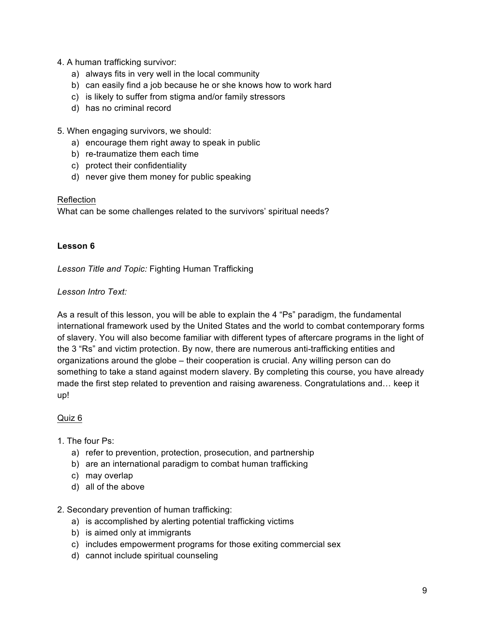- 4. A human trafficking survivor:
	- a) always fits in very well in the local community
	- b) can easily find a job because he or she knows how to work hard
	- c) is likely to suffer from stigma and/or family stressors
	- d) has no criminal record

5. When engaging survivors, we should:

- a) encourage them right away to speak in public
- b) re-traumatize them each time
- c) protect their confidentiality
- d) never give them money for public speaking

#### Reflection

What can be some challenges related to the survivors' spiritual needs?

### **Lesson 6**

*Lesson Title and Topic:* Fighting Human Trafficking

### *Lesson Intro Text:*

As a result of this lesson, you will be able to explain the 4 "Ps" paradigm, the fundamental international framework used by the United States and the world to combat contemporary forms of slavery. You will also become familiar with different types of aftercare programs in the light of the 3 "Rs" and victim protection. By now, there are numerous anti-trafficking entities and organizations around the globe – their cooperation is crucial. Any willing person can do something to take a stand against modern slavery. By completing this course, you have already made the first step related to prevention and raising awareness. Congratulations and… keep it up!

#### Quiz 6

## 1. The four Ps:

- a) refer to prevention, protection, prosecution, and partnership
- b) are an international paradigm to combat human trafficking
- c) may overlap
- d) all of the above
- 2. Secondary prevention of human trafficking:
	- a) is accomplished by alerting potential trafficking victims
	- b) is aimed only at immigrants
	- c) includes empowerment programs for those exiting commercial sex
	- d) cannot include spiritual counseling